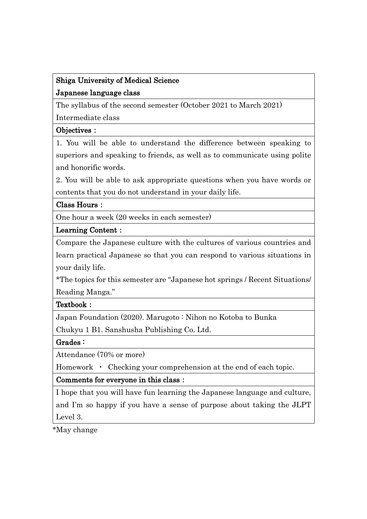# Shiga University of Medical Science Japanese language class

The syllabus of the second semester (October 2021 to March 2021)

Intermediate class

## Objectives:

1. You will be able to understand the difference between speaking to superiors and speaking to friends, as well as to communicate using polite and honorific words.

2. You will be able to ask appropriate questions when you have words or contents that you do not understand in your daily life.

## Class Hours:

One hour a week (20 weeks in each semester)

### Learning Content:

Compare the Japanese culture with the cultures of various countries and learn practical Japanese so that you can respond to various situations in your daily life.

\*The topics for this semester are "Japanese hot springs / Recent Situations/ Reading Manga."

## Textbook:

Japan Foundation (2020). Marugoto : Nihon no Kotoba to Bunka

Chukyu 1 B1. Sanshusha Publishing Co. Ltd.

## Grades :

Attendance (70% or more)

Homework • Checking your comprehension at the end of each topic.

## Comments for everyone in this class:

I hope that you will have fun learning the Japanese language and culture, and I'm so happy if you have a sense of purpose about taking the JLPT Level 3.

\*May change